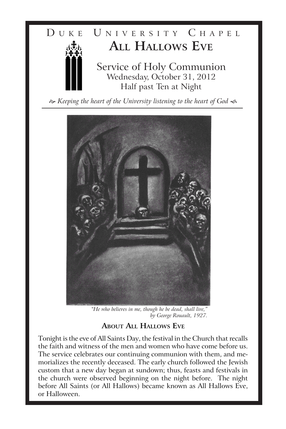

*Keeping the heart of the University listening to the heart of God*



"He who believes in me, though he be dead, shall live, *by George Rouault, 1927.* 

# **About All Hallows Eve**

Tonight is the eve of All Saints Day, the festival in the Church that recalls the faith and witness of the men and women who have come before us. The service celebrates our continuing communion with them, and memorializes the recently deceased. The early church followed the Jewish custom that a new day began at sundown; thus, feasts and festivals in the church were observed beginning on the night before. The night before All Saints (or All Hallows) became known as All Hallows Eve, or Halloween.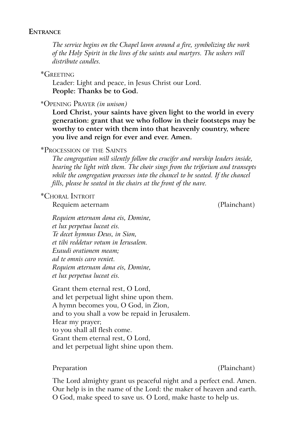### **Entrance**

*The service begins on the Chapel lawn around a fire, symbolizing the work of the Holy Spirit in the lives of the saints and martyrs. The ushers will distribute candles.*

\*Greeting

Leader: Light and peace, in Jesus Christ our Lord. **People: Thanks be to God.**

\*Opening Prayer *(in unison)*

**Lord Christ, your saints have given light to the world in every generation: grant that we who follow in their footsteps may be worthy to enter with them into that heavenly country, where you live and reign for ever and ever. Amen.**

## \*Procession of the Saints

*The congregation will silently follow the crucifer and worship leaders inside, bearing the light with them. The choir sings from the triforium and transepts while the congregation processes into the chancel to be seated. If the chancel fills, please be seated in the chairs at the front of the nave.*

## \*Choral Introit

Requiem aeternam (Plainchant)

*Requiem æternam dona eis, Domine, et lux perpetua luceat eis. Te decet hymnus Deus, in Sion, et tibi reddetur votum in Ierusalem. Exaudi orationem meam; ad te omnis caro veniet. Requiem æternam dona eis, Domine, et lux perpetua luceat eis.*

Grant them eternal rest, O Lord, and let perpetual light shine upon them. A hymn becomes you, O God, in Zion, and to you shall a vow be repaid in Jerusalem. Hear my prayer; to you shall all flesh come. Grant them eternal rest, O Lord, and let perpetual light shine upon them.

Preparation (Plainchant)

The Lord almighty grant us peaceful night and a perfect end. Amen. Our help is in the name of the Lord: the maker of heaven and earth. O God, make speed to save us. O Lord, make haste to help us.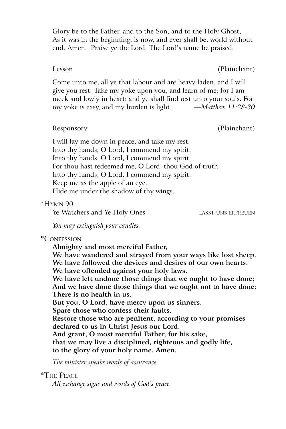Glory be to the Father, and to the Son, and to the Holy Ghost, As it was in the beginning, is now, and ever shall be, world without end. Amen. Praise ye the Lord. The Lord's name be praised.

Lesson (Plainchant)

Come unto me, all ye that labour and are heavy laden, and I will give you rest. Take my yoke upon you, and learn of me; for I am meek and lowly in heart: and ye shall find rest unto your souls. For my yoke is easy, and my burden is light. *—Matthew 11:28-30*

Responsory (Plainchant)

I will lay me down in peace, and take my rest. Into thy hands, O Lord, I commend my spirit. Into thy hands, O Lord, I commend my spirit. For thou hast redeemed me, O Lord, thou God of truth. Into thy hands, O Lord, I commend my spirit. Keep me as the apple of an eye. Hide me under the shadow of thy wings.

## \*Hymn 90

Ye Watchers and Ye Holy Ones **LASST UNS ERFREUEN** 

*You may extinguish your candles.*

## \*Confession

**Almighty and most merciful Father,**

**We have wandered and strayed from your ways like lost sheep. We have followed the devices and desires of our own hearts.**

**We have offended against your holy laws.**

**We have left undone those things that we ought to have done; And we have done those things that we ought not to have done; There is no health in us.**

**But you, O Lord, have mercy upon us sinners.**

**Spare those who confess their faults.**

**Restore those who are penitent, according to your promises declared to us in Christ Jesus our Lord.**

**And grant, O most merciful Father, for his sake,**

**that we may live a disciplined, righteous and godly life,**

t**o the glory of your holy name. Amen.**

*The minister speaks words of assurance.*

## \*The Peace

*All exchange signs and words of God's peace.*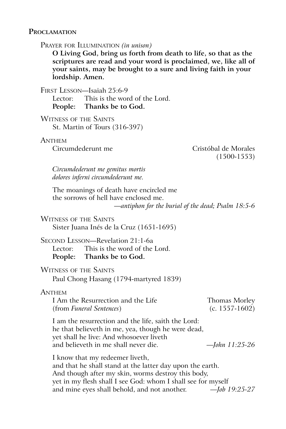### **Proclamation**

Prayer for Illumination *(in unison)*

**O Living God, bring us forth from death to life, so that as the scriptures are read and your word is proclaimed, we, like all of your saints, may be brought to a sure and living faith in your lordship. Amen.**

First Lesson—Isaiah 25:6-9

Lector: This is the word of the Lord. **People: Thanks be to God.**

Witness of the Saints St. Martin of Tours (316-397)

## **ANTHEM**

Circumdederunt me Cristóbal de Morales (1500-1553)

*Circumdederunt me gemitus mortis dolores inferni circumdederunt me.*

The moanings of death have encircled me the sorrows of hell have enclosed me. *—antiphon for the burial of the dead; Psalm 18:5-6*

Witness of the Saints

Sister Juana Inés de la Cruz (1651-1695)

Second Lesson—Revelation 21:1-6a Lector: This is the word of the Lord. **People: Thanks be to God.**

## Witness of the Saints

Paul Chong Hasang (1794-martyred 1839)

#### **ANTHEM**

| I Am the Resurrection and the Life | Thomas Morley  |
|------------------------------------|----------------|
| (from <i>Funeral Sentences</i> )   | (c. 1557-1602) |

I am the resurrection and the life, saith the Lord: he that believeth in me, yea, though he were dead, yet shall he live: And whosoever liveth and believeth in me shall never die. *—John 11:25-26*

I know that my redeemer liveth, and that he shall stand at the latter day upon the earth. And though after my skin, worms destroy this body, yet in my flesh shall I see God: whom I shall see for myself and mine eyes shall behold, and not another. *—Job 19:25-27*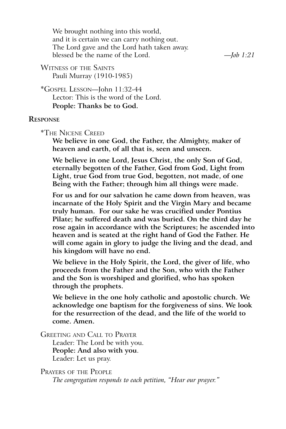We brought nothing into this world, and it is certain we can carry nothing out. The Lord gave and the Lord hath taken away. blessed be the name of the Lord. *—Job 1:21*

Witness of the Saints Pauli Murray (1910-1985)

\*Gospel Lesson—John 11:32-44 Lector: This is the word of the Lord. **People: Thanks be to God.**

## **Response**

\*The Nicene Creed

**We believe in one God, the Father, the Almighty, maker of heaven and earth, of all that is, seen and unseen.**

**We believe in one Lord, Jesus Christ, the only Son of God, eternally begotten of the Father, God from God, Light from Light, true God from true God, begotten, not made, of one Being with the Father; through him all things were made.**

**For us and for our salvation he came down from heaven, was incarnate of the Holy Spirit and the Virgin Mary and became truly human. For our sake he was crucified under Pontius Pilate; he suffered death and was buried. On the third day he rose again in accordance with the Scriptures; he ascended into heaven and is seated at the right hand of God the Father. He will come again in glory to judge the living and the dead, and his kingdom will have no end.**

**We believe in the Holy Spirit, the Lord, the giver of life, who proceeds from the Father and the Son, who with the Father and the Son is worshiped and glorified, who has spoken through the prophets.** 

**We believe in the one holy catholic and apostolic church. We acknowledge one baptism for the forgiveness of sins. We look for the resurrection of the dead, and the life of the world to come. Amen.**

Greeting and Call to Prayer

Leader: The Lord be with you. **People: And also with you**. Leader: Let us pray.

Prayers of the People *The congregation responds to each petition, "Hear our prayer."*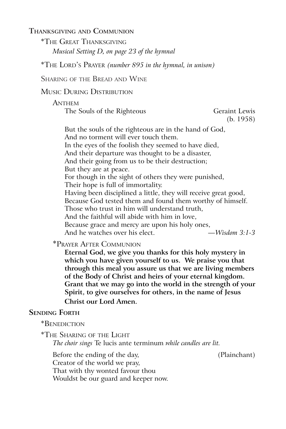**Thanksgiving and Communion**

\*The Great Thanksgiving *Musical Setting D, on page 23 of the hymnal*

\*The Lord's Prayer *(number 895 in the hymnal, in unison)*

Sharing of the Bread and Wine

Music During Distribution

#### **ANTHEM**

The Souls of the Righteous Geraint Lewis

(b. 1958)

But the souls of the righteous are in the hand of God, And no torment will ever touch them. In the eyes of the foolish they seemed to have died, And their departure was thought to be a disaster,

And their going from us to be their destruction;

But they are at peace.

For though in the sight of others they were punished,

Their hope is full of immortality.

Having been disciplined a little, they will receive great good,

Because God tested them and found them worthy of himself.

Those who trust in him will understand truth,

And the faithful will abide with him in love,

Because grace and mercy are upon his holy ones,

And he watches over his elect. *—Wisdom 3:1-3*

\*Prayer After Communion

**Eternal God, we give you thanks for this holy mystery in which you have given yourself to us. We praise you that through this meal you assure us that we are living members of the Body of Christ and heirs of your eternal kingdom. Grant that we may go into the world in the strength of your Spirit, to give ourselves for others, in the name of Jesus Christ our Lord Amen.**

### **Sending Forth**

\*Benediction

\*The Sharing of the Light *The choir sings* Te lucis ante terminum *while candles are lit.*

Before the ending of the day, (Plainchant)

Creator of the world we pray,

That with thy wonted favour thou

Wouldst be our guard and keeper now.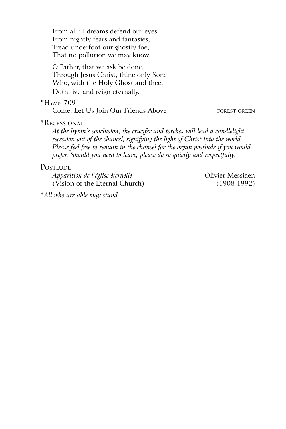From all ill dreams defend our eyes, From nightly fears and fantasies; Tread underfoot our ghostly foe, That no pollution we may know.

O Father, that we ask be done, Through Jesus Christ, thine only Son; Who, with the Holy Ghost and thee, Doth live and reign eternally.

#### \*Hymn 709

Come, Let Us Join Our Friends Above FOREST GREEN

\*Recessional

*At the hymn's conclusion, the crucifer and torches will lead a candlelight recession out of the chancel, signifying the light of Christ into the world. Please feel free to remain in the chancel for the organ postlude if you would prefer. Should you need to leave, please do so quietly and respectfully.*

#### **POSTLUDE**

*Apparition de l'église éternelle*  $\qquad \qquad$  Olivier Messiaen (Vision of the Eternal Church) (1908-1992)

\**All who are able may stand.*